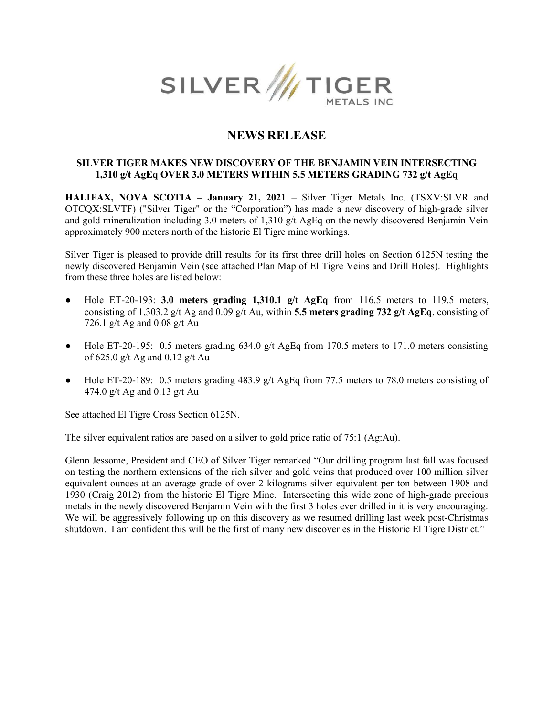

# NEWS RELEASE

# SILVER TIGER MAKES NEW DISCOVERY OF THE BENJAMIN VEIN INTERSECTING 1,310 g/t AgEq OVER 3.0 METERS WITHIN 5.5 METERS GRADING 732 g/t AgEq

HALIFAX, NOVA SCOTIA – January 21, 2021 – Silver Tiger Metals Inc. (TSXV:SLVR and OTCQX:SLVTF) ("Silver Tiger" or the "Corporation") has made a new discovery of high-grade silver and gold mineralization including 3.0 meters of 1,310  $g/t$  AgEq on the newly discovered Benjamin Vein approximately 900 meters north of the historic El Tigre mine workings.

Silver Tiger is pleased to provide drill results for its first three drill holes on Section 6125N testing the newly discovered Benjamin Vein (see attached Plan Map of El Tigre Veins and Drill Holes). Highlights from these three holes are listed below:

- Hole ET-20-193: 3.0 meters grading 1,310.1 g/t AgEq from 116.5 meters to 119.5 meters, consisting of 1,303.2 g/t Ag and 0.09 g/t Au, within 5.5 meters grading 732 g/t AgEq, consisting of 726.1 g/t Ag and 0.08 g/t Au
- Hole ET-20-195: 0.5 meters grading 634.0 g/t AgEq from 170.5 meters to 171.0 meters consisting of 625.0 g/t Ag and 0.12 g/t Au
- Hole ET-20-189: 0.5 meters grading 483.9 g/t AgEq from 77.5 meters to 78.0 meters consisting of 474.0 g/t Ag and 0.13 g/t Au

See attached El Tigre Cross Section 6125N.

The silver equivalent ratios are based on a silver to gold price ratio of 75:1 (Ag:Au).

Glenn Jessome, President and CEO of Silver Tiger remarked "Our drilling program last fall was focused on testing the northern extensions of the rich silver and gold veins that produced over 100 million silver equivalent ounces at an average grade of over 2 kilograms silver equivalent per ton between 1908 and 1930 (Craig 2012) from the historic El Tigre Mine. Intersecting this wide zone of high-grade precious metals in the newly discovered Benjamin Vein with the first 3 holes ever drilled in it is very encouraging. We will be aggressively following up on this discovery as we resumed drilling last week post-Christmas shutdown. I am confident this will be the first of many new discoveries in the Historic El Tigre District."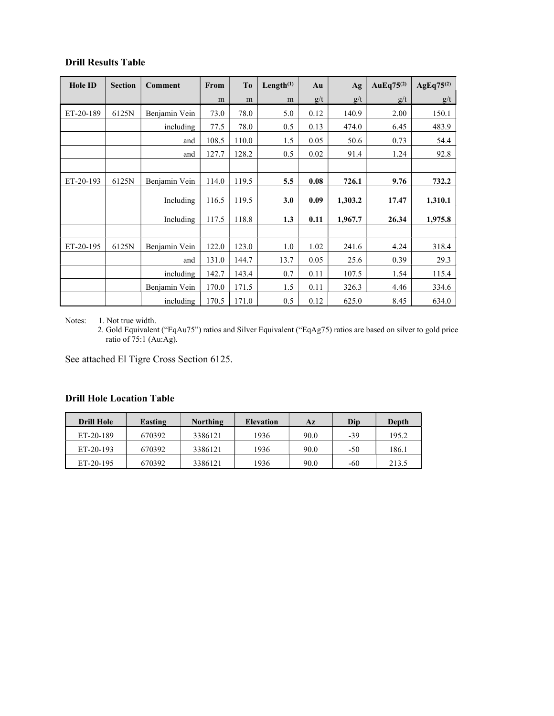| <b>Hole ID</b> | <b>Section</b> | Comment       | From  | T <sub>0</sub> | Length <sup>(1)</sup> | Au   | Ag      | AuEq75 $(2)$ | $AgEq75^{(2)}$ |
|----------------|----------------|---------------|-------|----------------|-----------------------|------|---------|--------------|----------------|
|                |                |               | m     | m              | m                     | g/t  | g/t     | g/t          | g/t            |
| ET-20-189      | 6125N          | Benjamin Vein | 73.0  | 78.0           | 5.0                   | 0.12 | 140.9   | 2.00         | 150.1          |
|                |                | including     | 77.5  | 78.0           | 0.5                   | 0.13 | 474.0   | 6.45         | 483.9          |
|                |                | and           | 108.5 | 110.0          | 1.5                   | 0.05 | 50.6    | 0.73         | 54.4           |
|                |                | and           | 127.7 | 128.2          | 0.5                   | 0.02 | 91.4    | 1.24         | 92.8           |
|                |                |               |       |                |                       |      |         |              |                |
| ET-20-193      | 6125N          | Benjamin Vein | 114.0 | 119.5          | 5.5                   | 0.08 | 726.1   | 9.76         | 732.2          |
|                |                | Including     | 116.5 | 119.5          | 3.0                   | 0.09 | 1,303.2 | 17.47        | 1,310.1        |
|                |                | Including     | 117.5 | 118.8          | 1.3                   | 0.11 | 1,967.7 | 26.34        | 1,975.8        |
|                |                |               |       |                |                       |      |         |              |                |
| ET-20-195      | 6125N          | Benjamin Vein | 122.0 | 123.0          | 1.0                   | 1.02 | 241.6   | 4.24         | 318.4          |
|                |                | and           | 131.0 | 144.7          | 13.7                  | 0.05 | 25.6    | 0.39         | 29.3           |
|                |                | including     | 142.7 | 143.4          | 0.7                   | 0.11 | 107.5   | 1.54         | 115.4          |
|                |                | Benjamin Vein | 170.0 | 171.5          | 1.5                   | 0.11 | 326.3   | 4.46         | 334.6          |
|                |                | including     | 170.5 | 171.0          | 0.5                   | 0.12 | 625.0   | 8.45         | 634.0          |

Notes: 1. Not true width.

2. Gold Equivalent ("EqAu75") ratios and Silver Equivalent ("EqAg75) ratios are based on silver to gold price ratio of 75:1 (Au:Ag).

See attached El Tigre Cross Section 6125.

# Drill Hole Location Table

| <b>Drill Hole</b> | Easting | Northing | <b>Elevation</b> | Az   | Dip | Depth |
|-------------------|---------|----------|------------------|------|-----|-------|
| ET-20-189         | 670392  | 3386121  | 1936             | 90.0 | -39 | 195.2 |
| ET-20-193         | 670392  | 3386121  | 1936             | 90.0 | -50 | 186.1 |
| ET-20-195         | 670392  | 3386121  | 1936             | 90.0 | -60 | 213.5 |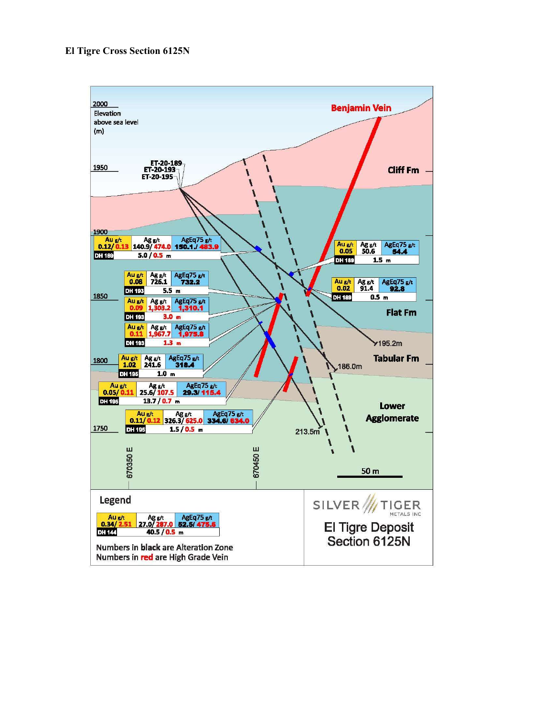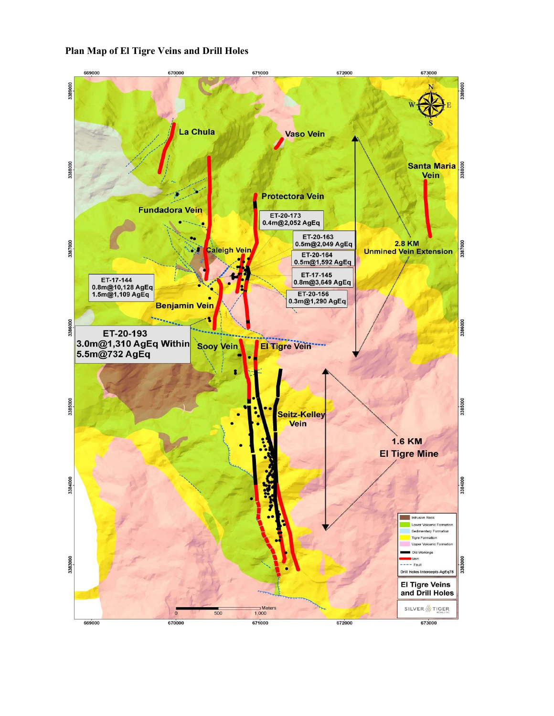# Plan Map of El Tigre Veins and Drill Holes

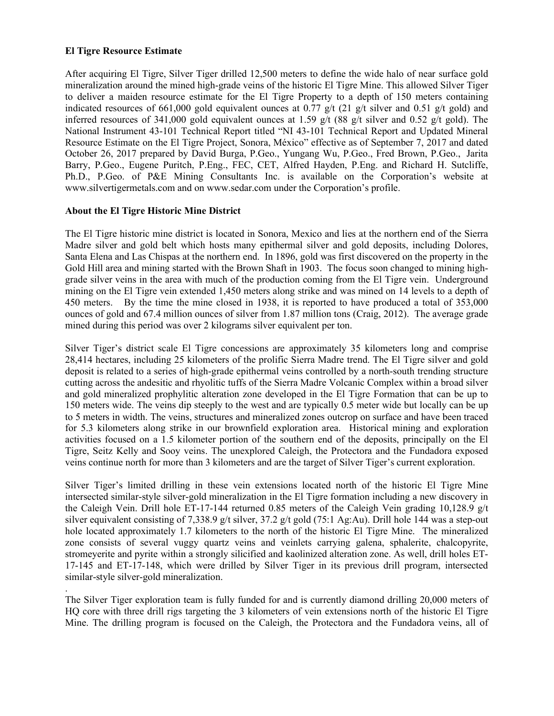#### El Tigre Resource Estimate

After acquiring El Tigre, Silver Tiger drilled 12,500 meters to define the wide halo of near surface gold mineralization around the mined high-grade veins of the historic El Tigre Mine. This allowed Silver Tiger to deliver a maiden resource estimate for the El Tigre Property to a depth of 150 meters containing indicated resources of 661,000 gold equivalent ounces at 0.77 g/t (21 g/t silver and 0.51 g/t gold) and inferred resources of 341,000 gold equivalent ounces at 1.59 g/t (88 g/t silver and 0.52 g/t gold). The National Instrument 43-101 Technical Report titled "NI 43-101 Technical Report and Updated Mineral Resource Estimate on the El Tigre Project, Sonora, México" effective as of September 7, 2017 and dated October 26, 2017 prepared by David Burga, P.Geo., Yungang Wu, P.Geo., Fred Brown, P.Geo., Jarita Barry, P.Geo., Eugene Puritch, P.Eng., FEC, CET, Alfred Hayden, P.Eng. and Richard H. Sutcliffe, Ph.D., P.Geo. of P&E Mining Consultants Inc. is available on the Corporation's website at www.silvertigermetals.com and on www.sedar.com under the Corporation's profile.

# About the El Tigre Historic Mine District

.

The El Tigre historic mine district is located in Sonora, Mexico and lies at the northern end of the Sierra Madre silver and gold belt which hosts many epithermal silver and gold deposits, including Dolores, Santa Elena and Las Chispas at the northern end. In 1896, gold was first discovered on the property in the Gold Hill area and mining started with the Brown Shaft in 1903. The focus soon changed to mining highgrade silver veins in the area with much of the production coming from the El Tigre vein. Underground mining on the El Tigre vein extended 1,450 meters along strike and was mined on 14 levels to a depth of 450 meters. By the time the mine closed in 1938, it is reported to have produced a total of 353,000 ounces of gold and 67.4 million ounces of silver from 1.87 million tons (Craig, 2012). The average grade mined during this period was over 2 kilograms silver equivalent per ton.

Silver Tiger's district scale El Tigre concessions are approximately 35 kilometers long and comprise 28,414 hectares, including 25 kilometers of the prolific Sierra Madre trend. The El Tigre silver and gold deposit is related to a series of high-grade epithermal veins controlled by a north-south trending structure cutting across the andesitic and rhyolitic tuffs of the Sierra Madre Volcanic Complex within a broad silver and gold mineralized prophylitic alteration zone developed in the El Tigre Formation that can be up to 150 meters wide. The veins dip steeply to the west and are typically 0.5 meter wide but locally can be up to 5 meters in width. The veins, structures and mineralized zones outcrop on surface and have been traced for 5.3 kilometers along strike in our brownfield exploration area. Historical mining and exploration activities focused on a 1.5 kilometer portion of the southern end of the deposits, principally on the El Tigre, Seitz Kelly and Sooy veins. The unexplored Caleigh, the Protectora and the Fundadora exposed veins continue north for more than 3 kilometers and are the target of Silver Tiger's current exploration.

Silver Tiger's limited drilling in these vein extensions located north of the historic El Tigre Mine intersected similar-style silver-gold mineralization in the El Tigre formation including a new discovery in the Caleigh Vein. Drill hole ET-17-144 returned 0.85 meters of the Caleigh Vein grading 10,128.9 g/t silver equivalent consisting of 7,338.9 g/t silver, 37.2 g/t gold (75:1 Ag:Au). Drill hole 144 was a step-out hole located approximately 1.7 kilometers to the north of the historic El Tigre Mine. The mineralized zone consists of several vuggy quartz veins and veinlets carrying galena, sphalerite, chalcopyrite, stromeyerite and pyrite within a strongly silicified and kaolinized alteration zone. As well, drill holes ET-17-145 and ET-17-148, which were drilled by Silver Tiger in its previous drill program, intersected similar-style silver-gold mineralization.

The Silver Tiger exploration team is fully funded for and is currently diamond drilling 20,000 meters of HQ core with three drill rigs targeting the 3 kilometers of vein extensions north of the historic El Tigre Mine. The drilling program is focused on the Caleigh, the Protectora and the Fundadora veins, all of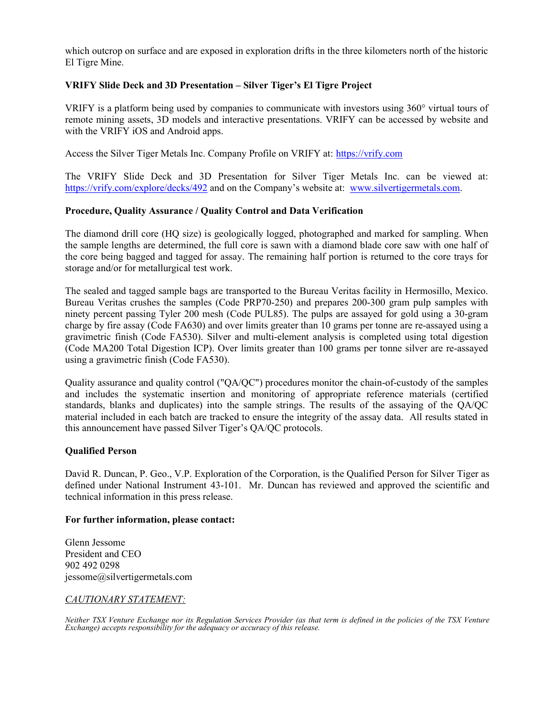which outcrop on surface and are exposed in exploration drifts in the three kilometers north of the historic El Tigre Mine.

# VRIFY Slide Deck and 3D Presentation – Silver Tiger's El Tigre Project

VRIFY is a platform being used by companies to communicate with investors using 360° virtual tours of remote mining assets, 3D models and interactive presentations. VRIFY can be accessed by website and with the VRIFY iOS and Android apps.

Access the Silver Tiger Metals Inc. Company Profile on VRIFY at: https://vrify.com

The VRIFY Slide Deck and 3D Presentation for Silver Tiger Metals Inc. can be viewed at: https://vrify.com/explore/decks/492 and on the Company's website at: www.silvertigermetals.com.

# Procedure, Quality Assurance / Quality Control and Data Verification

The diamond drill core (HQ size) is geologically logged, photographed and marked for sampling. When the sample lengths are determined, the full core is sawn with a diamond blade core saw with one half of the core being bagged and tagged for assay. The remaining half portion is returned to the core trays for storage and/or for metallurgical test work.

The sealed and tagged sample bags are transported to the Bureau Veritas facility in Hermosillo, Mexico. Bureau Veritas crushes the samples (Code PRP70-250) and prepares 200-300 gram pulp samples with ninety percent passing Tyler 200 mesh (Code PUL85). The pulps are assayed for gold using a 30-gram charge by fire assay (Code FA630) and over limits greater than 10 grams per tonne are re-assayed using a gravimetric finish (Code FA530). Silver and multi-element analysis is completed using total digestion (Code MA200 Total Digestion ICP). Over limits greater than 100 grams per tonne silver are re-assayed using a gravimetric finish (Code FA530).

Quality assurance and quality control ("QA/QC") procedures monitor the chain-of-custody of the samples and includes the systematic insertion and monitoring of appropriate reference materials (certified standards, blanks and duplicates) into the sample strings. The results of the assaying of the QA/QC material included in each batch are tracked to ensure the integrity of the assay data. All results stated in this announcement have passed Silver Tiger's QA/QC protocols.

# Qualified Person

David R. Duncan, P. Geo., V.P. Exploration of the Corporation, is the Qualified Person for Silver Tiger as defined under National Instrument 43-101. Mr. Duncan has reviewed and approved the scientific and technical information in this press release.

# For further information, please contact:

Glenn Jessome President and CEO 902 492 0298 jessome@silvertigermetals.com

# CAUTIONARY STATEMENT:

Neither TSX Venture Exchange nor its Regulation Services Provider (as that term is defined in the policies of the TSX Venture Exchange) accepts responsibility for the adequacy or accuracy of this release.